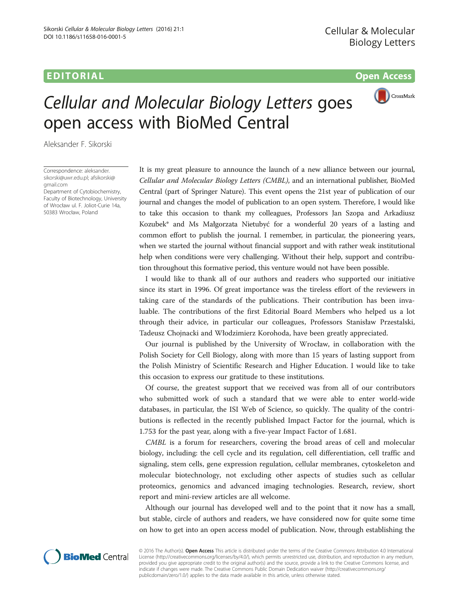## **EDITORIAL** CONSTRUCTION CONTINUES AND CONSTRUCT OF THE CONSTRUCTION OPEN ACCESS OPEN ACCESS OF THE CONSTRUCTION OF THE CONSTRUCTION OF THE CONSTRUCTION OF THE CONSTRUCTION OF THE CONSTRUCTION OF THE CONSTRUCTION OF THE CO



## Cellular and Molecular Biology Letters goes open access with BioMed Central

Aleksander F. Sikorski

Correspondence: [aleksander.](mailto:aleksander.sikorski@uwr.edu.pl) [sikorski@uwr.edu.pl](mailto:aleksander.sikorski@uwr.edu.pl); [afsikorski@](mailto:afsikorski@gmail.com) [gmail.com](mailto:afsikorski@gmail.com)

Department of Cytobiochemistry, Faculty of Biotechnology, University of Wrocław ul. F. Joliot-Curie 14a, 50383 Wrocław, Poland

It is my great pleasure to announce the launch of a new alliance between our journal, Cellular and Molecular Biology Letters (CMBL), and an international publisher, BioMed Central (part of Springer Nature). This event opens the 21st year of publication of our journal and changes the model of publication to an open system. Therefore, I would like to take this occasion to thank my colleagues, Professors Jan Szopa and Arkadiusz Kozubek\* and Ms Małgorzata Nietubyć for a wonderful 20 years of a lasting and common effort to publish the journal. I remember, in particular, the pioneering years, when we started the journal without financial support and with rather weak institutional help when conditions were very challenging. Without their help, support and contribution throughout this formative period, this venture would not have been possible.

I would like to thank all of our authors and readers who supported our initiative since its start in 1996. Of great importance was the tireless effort of the reviewers in taking care of the standards of the publications. Their contribution has been invaluable. The contributions of the first Editorial Board Members who helped us a lot through their advice, in particular our colleagues, Professors Stanisław Przestalski, Tadeusz Chojnacki and Włodzimierz Korohoda, have been greatly appreciated.

Our journal is published by the University of Wrocław, in collaboration with the Polish Society for Cell Biology, along with more than 15 years of lasting support from the Polish Ministry of Scientific Research and Higher Education. I would like to take this occasion to express our gratitude to these institutions.

Of course, the greatest support that we received was from all of our contributors who submitted work of such a standard that we were able to enter world-wide databases, in particular, the ISI Web of Science, so quickly. The quality of the contributions is reflected in the recently published Impact Factor for the journal, which is 1.753 for the past year, along with a five-year Impact Factor of 1.681.

CMBL is a forum for researchers, covering the broad areas of cell and molecular biology, including: the cell cycle and its regulation, cell differentiation, cell traffic and signaling, stem cells, gene expression regulation, cellular membranes, cytoskeleton and molecular biotechnology, not excluding other aspects of studies such as cellular proteomics, genomics and advanced imaging technologies. Research, review, short report and mini-review articles are all welcome.

Although our journal has developed well and to the point that it now has a small, but stable, circle of authors and readers, we have considered now for quite some time on how to get into an open access model of publication. Now, through establishing the



© 2016 The Author(s). Open Access This article is distributed under the terms of the Creative Commons Attribution 4.0 International License ([http://creativecommons.org/licenses/by/4.0/\)](http://creativecommons.org/licenses/by/4.0/), which permits unrestricted use, distribution, and reproduction in any medium, provided you give appropriate credit to the original author(s) and the source, provide a link to the Creative Commons license, and indicate if changes were made. The Creative Commons Public Domain Dedication waiver ([http://creativecommons.org/](http://creativecommons.org/publicdomain/zero/1.0/) [publicdomain/zero/1.0/\)](http://creativecommons.org/publicdomain/zero/1.0/) applies to the data made available in this article, unless otherwise stated.